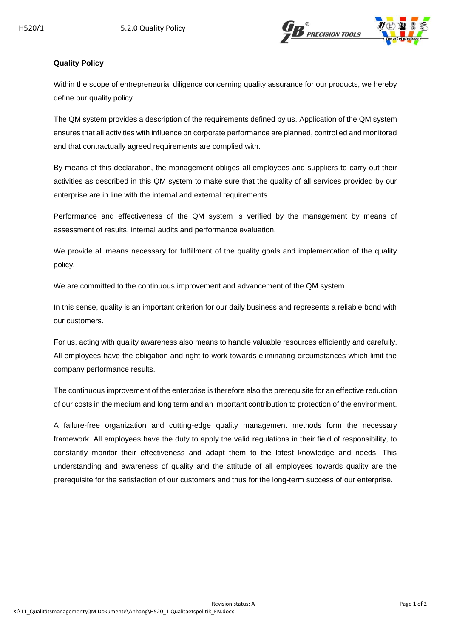

## **Quality Policy**

Within the scope of entrepreneurial diligence concerning quality assurance for our products, we hereby define our quality policy.

The QM system provides a description of the requirements defined by us. Application of the QM system ensures that all activities with influence on corporate performance are planned, controlled and monitored and that contractually agreed requirements are complied with.

By means of this declaration, the management obliges all employees and suppliers to carry out their activities as described in this QM system to make sure that the quality of all services provided by our enterprise are in line with the internal and external requirements.

Performance and effectiveness of the QM system is verified by the management by means of assessment of results, internal audits and performance evaluation.

We provide all means necessary for fulfillment of the quality goals and implementation of the quality policy.

We are committed to the continuous improvement and advancement of the QM system.

In this sense, quality is an important criterion for our daily business and represents a reliable bond with our customers.

For us, acting with quality awareness also means to handle valuable resources efficiently and carefully. All employees have the obligation and right to work towards eliminating circumstances which limit the company performance results.

The continuous improvement of the enterprise is therefore also the prerequisite for an effective reduction of our costs in the medium and long term and an important contribution to protection of the environment.

A failure-free organization and cutting-edge quality management methods form the necessary framework. All employees have the duty to apply the valid regulations in their field of responsibility, to constantly monitor their effectiveness and adapt them to the latest knowledge and needs. This understanding and awareness of quality and the attitude of all employees towards quality are the prerequisite for the satisfaction of our customers and thus for the long-term success of our enterprise.